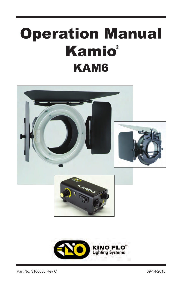# Operation Manual Kamio **®**KAM6



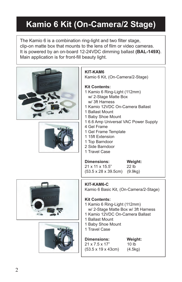# **Kamio 6 Kit (On-Camera/2 Stage)**

The Kamio 6 is a combination ring-light and two filter stage, clip-on matte box that mounts to the lens of film or video cameras. It is powered by an on-board 12-24VDC dimming ballast **(BAL-149X)**. Main application is for front-fill beauty light.





### **KIT-KAM6**

Kamio 6 Kit, (On-Camera/2-Stage)

### **Kit Contents:**

- 1 Kamio 6 Ring-Light (112mm) w/ 2-Stage Matte Box w/ 3ft Harness
- 1 Kamio 12VDC On-Camera Ballast
- 1 Ballast Mount
- 1 Baby Shoe Mount
- 1 6.6 Amp Universal VAC Power Supply
- 4 Gel Frame
- 1 Gel Frame Template
- 1 15ft Extension
- 1 Top Barndoor
- 2 Side Barndoor
- 1 Travel Case





### **Dimensions: Weight:** 21 x 11 x 15.5" 22 lb

(53.5 x 28 x 39.5cm) (9.9kg)

### **KIT-KAM6-C**

Kamio 6 Basic Kit, (On-Camera/2-Stage)

### **Kit Contents:**

- 1 Kamio 6 Ring-Light (112mm) w/ 2-Stage Matte Box w/ 3ft Harness
- 1 Kamio 12VDC On-Camera Ballast
- 1 Ballast Mount
- 1 Baby Shoe Mount
- 1 Travel Case

#### **Dimensions: Weight:** 21 x 7.5 x 17" 10 lb (53.5 x 19 x 43cm) (4.5kg)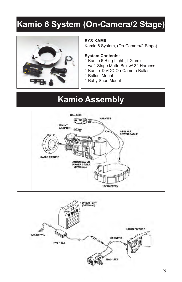# **Kamio 6 System (On-Camera/2 Stage)**



#### **SYS-KAM6**

Kamio 6 System, (On-Camera/2-Stage)

#### **System Contents:**

- 1 Kamio 6 Ring-Light (112mm) w/ 2-Stage Matte Box w/ 3ft Harness
- 1 Kamio 12VDC On-Camera Ballast
- 1 Ballast Mount
- 1 Baby Shoe Mount

### **Kamio Assembly**



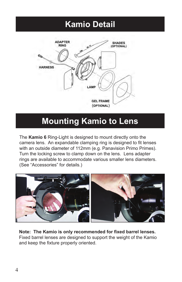### **Kamio Detail**



### **Mounting Kamio to Lens**

The **Kamio 6** Ring-Light is designed to mount directly onto the camera lens. An expandable clamping ring is designed to fit lenses with an outside diameter of 112mm (e.g. Panavision Primo Primes). Turn the locking screw to clamp down on the lens. Lens adapter rings are available to accommodate various smaller lens diameters. (See "Accessories" for details.)



**Note: The Kamio is only recommended for fixed barrel lenses.**  Fixed barrel lenses are designed to support the weight of the Kamio and keep the fixture properly oriented.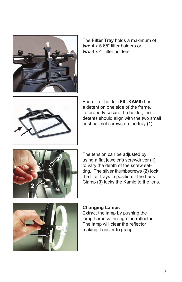

The **Filter Tray** holds a maximum of **two** 4 x 5.65" filter holders or **two** 4 x 4" filter holders.



Each filter holder (**FIL-KAM6)** has a detent on one side of the frame. To properly secure the holder, the detents should align with the two small pushball set screws on the tray **(1)**.



The tension can be adjusted by using a flat jeweler's screwdriver **(1)** to vary the depth of the screw setting. The silver thumbscrews **(2)** lock the filter trays in position. The Lens Clamp **(3)** locks the Kamio to the lens.



### **Changing Lamps**

Extract the lamp by pushing the lamp harness through the reflector. The lamp will clear the reflector making it easier to grasp.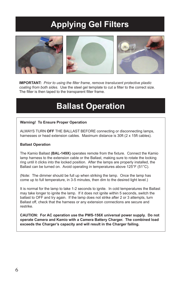# **Applying Gel Filters**



**IMPORTANT:** *Prior to using the filter frame, remove translucent protective plastic coating from both sides.* Use the steel gel template to cut a filter to the correct size. The filter is then taped to the transparent filter frame.

### **Ballast Operation**

#### **Warning! To Ensure Proper Operation**

ALWAYS TURN **OFF** THE BALLAST BEFORE connecting or disconnecting lamps, harnesses or head extension cables. Maximum distance is 30ft (2 x 15ft cables).

#### **Ballast Operation**

The Kamio Ballast **(BAL-149X)** operates remote from the fixture. Connect the Kamio lamp harness to the extension cable or the Ballast, making sure to rotate the locking ring until it clicks into the locked position. After the lamps are properly installed, the Ballast can be turned on. Avoid operating in temperatures above 125°F (51°C).

(Note: The dimmer should be full up when striking the lamp. Once the lamp has come up to full temperature, in 3-5 minutes, then dim to the desired light level.)

It is normal for the lamp to take 1-2 seconds to ignite. In cold temperatures the Ballast may take longer to ignite the lamp. If it does not ignite within 5 seconds, switch the ballast to OFF and try again. If the lamp does not strike after 2 or 3 attempts, turn Ballast off, check that the harness or any extension connections are secure and restrike.

**CAUTION: For AC operation use the PWS-156X universal power supply. Do not operate Camera and Kamio with a Camera Battery Charger. The combined load exceeds the Charger's capacity and will result in the Charger failing.**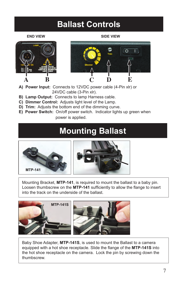# **Ballast Controls**

#### **END VIEW SIDE VIEW**





- **A) Power Input:** Connects to 12VDC power cable (4-Pin xlr) or 24VDC cable (3-Pin xlr).
- **B) Lamp Output:** Connects to lamp Harness cable.
- **C) Dimmer Control:** Adjusts light level of the Lamp.
- **D) Trim:** Adjusts the bottom end of the dimming curve.
- **E) Power Switch:** On/off power switch. Indicator lights up green when power is applied.

### **Mounting Ballast**





Mounting Bracket, **MTP-141**, is required to mount the ballast to a baby pin. Loosen thumbscrew on the **MTP-141** sufficiently to allow the flange to insert into the track on the underside of the ballast.





Baby Shoe Adapter, **MTP-141S**, is used to mount the Ballast to a camera equipped with a hot shoe receptacle. Slide the flange of the **MTP-141S** into the hot shoe receptacle on the camera. Lock the pin by screwing down the thumbscrew.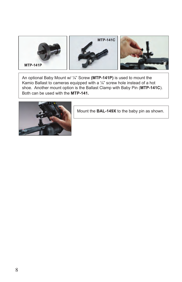

An optional Baby Mount w/ ¼" Screw **(MTP-141P)** is used to mount the Kamio Ballast to cameras equipped with a ¼" screw hole instead of a hot shoe. Another mount option is the Ballast Clamp with Baby Pin (**MTP-141C**). Both can be used with the **MTP-141.**



Mount the **BAL-149X** to the baby pin as shown.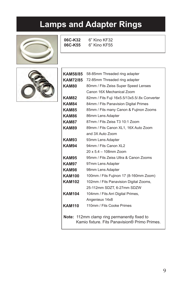# **Lamps and Adapter Rings**



**06C-K32** 6" Kino KF32

**06C-K55** 6" Kino KF55

| <b>KAM58/85</b> | 58-85mm Threaded ring adapter                                                                |  |  |
|-----------------|----------------------------------------------------------------------------------------------|--|--|
| <b>KAM72/85</b> | 72-85mm Threaded ring adapter                                                                |  |  |
| KAM80           | 80mm / Fits Zeiss Super Speed Lenses                                                         |  |  |
|                 | Canon 16X Mechanical Zoom                                                                    |  |  |
| <b>KAM82</b>    | 82mm / Fits Fuji 16x5.5/13x5.5/8x Converter                                                  |  |  |
| KAM84           | 84mm / Fits Panavision Digital Primes                                                        |  |  |
| KAM85           | 85mm / Fits many Canon & Fujinon Zooms                                                       |  |  |
| KAM86           | 86mm Lens Adapter                                                                            |  |  |
| KAM87           | 87mm / Fits Zeiss T3 10:1 Zoom                                                               |  |  |
| KAM89           | 89mm / Fits Canon XL1, 16X Auto Zoom                                                         |  |  |
|                 | and 3X Auto Zoom                                                                             |  |  |
| KAM93           | 93mm Lens Adapter                                                                            |  |  |
| <b>KAM94</b>    | 94mm / Fits Canon XL2                                                                        |  |  |
|                 | 20 x 5.4 - 108mm Zoom                                                                        |  |  |
| KAM95           | 95mm / Fits Zeiss Ultra & Canon Zooms                                                        |  |  |
| KAM97           | 97mm Lens Adapter                                                                            |  |  |
| <b>KAM98</b>    | 98mm Lens Adapter                                                                            |  |  |
| <b>KAM100</b>   | 100mm / Fits Fujinon 17 (8-160mm Zoom)                                                       |  |  |
| <b>KAM102</b>   | 102mm / Fits Panavision Digital Zooms,                                                       |  |  |
|                 | 25-112mm SDZT, 6-27mm SDZW                                                                   |  |  |
| <b>KAM104</b>   | 104mm / Fits Arri Digital Primes,                                                            |  |  |
|                 | Angenieux 14x8                                                                               |  |  |
| <b>KAM110</b>   | 110mm / Fits Cooke Primes                                                                    |  |  |
|                 |                                                                                              |  |  |
|                 | Note: 112mm clamp ring permanently fixed to<br>Kamio fixture. Fits Panavision® Primo Primes. |  |  |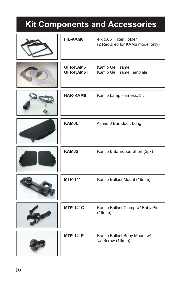# **Kit Components and Accessories**

| <b>FIL-KAM6</b>                     | 4 x 5.65" Filter Holder<br>(2 Required for KAM6 model only) |
|-------------------------------------|-------------------------------------------------------------|
| <b>GFR-KAM6</b><br><b>GFR-KAM6T</b> | Kamio Gel Frame<br>Kamio Gel Frame Template                 |
| <b>HAR-KAM6</b>                     | Kamio Lamp Harness, 3ft                                     |
| KAM6L                               | Kamio 6 Barndoor, Long                                      |
| <b>KAM6S</b>                        | Kamio 6 Barndoor, Short (2pk)                               |
| <b>MTP-141</b>                      | Kamio Ballast Mount (16mm)                                  |
| <b>MTP-141C</b>                     | Kamio Ballast Clamp w/ Baby Pin<br>(16mm)                   |
| <b>MTP-141P</b>                     | Kamio Ballast Baby Mount w/<br>$\frac{1}{4}$ " Screw (16mm) |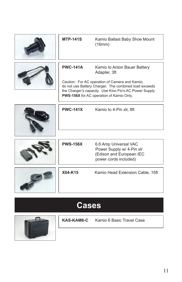| <b>MTP-141S</b> | Kamio Ballast Baby Shoe Mount<br>(16mm)                                                                                                                                                                                                                       |
|-----------------|---------------------------------------------------------------------------------------------------------------------------------------------------------------------------------------------------------------------------------------------------------------|
| <b>PWC-141A</b> | Kamio to Anton Bauer Battery<br>Adapter, 3ft<br>Caution: For AC operation of Camera and Kamio,<br>do not use Battery Charger. The combined load exceeds<br>the Charger's capacity. Use Kino Flo's AC Power Supply<br>PWS-156X for AC operation of Kamio Only. |
| <b>PWC-141X</b> | Kamio to 4-Pin xlr, 8ft                                                                                                                                                                                                                                       |
| <b>PWS-156X</b> | 6.6 Amp Universal VAC<br>Power Supply w/ 4-Pin xlr<br>(Edison and European IEC<br>power cords included)                                                                                                                                                       |
| X04-K15         | Kamio Head Extension Cable, 15ft                                                                                                                                                                                                                              |

# **Cases**



| KAS-KAM6-C | Kamio 6 Basic Travel Case |
|------------|---------------------------|
|            |                           |